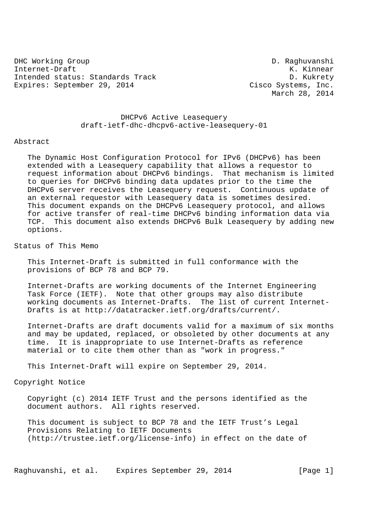DHC Working Group D. Raghuvanshi Internet-Draft K. Kinnear Intended status: Standards Track D. Kukrety Expires: September 29, 2014 Cisco Systems, Inc.

March 28, 2014

 DHCPv6 Active Leasequery draft-ietf-dhc-dhcpv6-active-leasequery-01

## Abstract

 The Dynamic Host Configuration Protocol for IPv6 (DHCPv6) has been extended with a Leasequery capability that allows a requestor to request information about DHCPv6 bindings. That mechanism is limited to queries for DHCPv6 binding data updates prior to the time the DHCPv6 server receives the Leasequery request. Continuous update of an external requestor with Leasequery data is sometimes desired. This document expands on the DHCPv6 Leasequery protocol, and allows for active transfer of real-time DHCPv6 binding information data via TCP. This document also extends DHCPv6 Bulk Leasequery by adding new options.

Status of This Memo

 This Internet-Draft is submitted in full conformance with the provisions of BCP 78 and BCP 79.

 Internet-Drafts are working documents of the Internet Engineering Task Force (IETF). Note that other groups may also distribute working documents as Internet-Drafts. The list of current Internet- Drafts is at http://datatracker.ietf.org/drafts/current/.

 Internet-Drafts are draft documents valid for a maximum of six months and may be updated, replaced, or obsoleted by other documents at any time. It is inappropriate to use Internet-Drafts as reference material or to cite them other than as "work in progress."

This Internet-Draft will expire on September 29, 2014.

Copyright Notice

 Copyright (c) 2014 IETF Trust and the persons identified as the document authors. All rights reserved.

 This document is subject to BCP 78 and the IETF Trust's Legal Provisions Relating to IETF Documents (http://trustee.ietf.org/license-info) in effect on the date of

Raghuvanshi, et al. Expires September 29, 2014 [Page 1]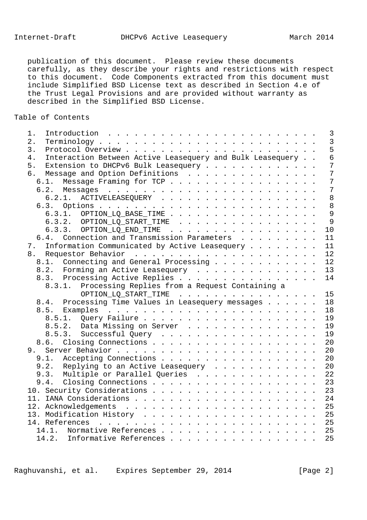publication of this document. Please review these documents carefully, as they describe your rights and restrictions with respect to this document. Code Components extracted from this document must include Simplified BSD License text as described in Section 4.e of the Trust Legal Provisions and are provided without warranty as described in the Simplified BSD License.

# Table of Contents

| 1. |                                                           |  |                         |  |  |  |  |  |  |  |  | $\overline{3}$ |
|----|-----------------------------------------------------------|--|-------------------------|--|--|--|--|--|--|--|--|----------------|
| 2. |                                                           |  |                         |  |  |  |  |  |  |  |  | $\overline{3}$ |
| 3. |                                                           |  |                         |  |  |  |  |  |  |  |  | 5              |
| 4. | Interaction Between Active Leasequery and Bulk Leasequery |  |                         |  |  |  |  |  |  |  |  | $\overline{6}$ |
| 5. | Extension to DHCPv6 Bulk Leasequery                       |  |                         |  |  |  |  |  |  |  |  | $\overline{7}$ |
|    | 6. Message and Option Definitions                         |  |                         |  |  |  |  |  |  |  |  | $\overline{7}$ |
|    | 6.1. Message Framing for TCP                              |  |                         |  |  |  |  |  |  |  |  | $\overline{7}$ |
|    |                                                           |  |                         |  |  |  |  |  |  |  |  | $\overline{7}$ |
|    | 6.2.1. ACTIVELEASEQUERY                                   |  |                         |  |  |  |  |  |  |  |  | 8              |
|    |                                                           |  |                         |  |  |  |  |  |  |  |  |                |
|    | 6.3.1. OPTION_LQ_BASE_TIME                                |  |                         |  |  |  |  |  |  |  |  | $\overline{9}$ |
|    | $6.3.2.$ OPTION_LQ_START_TIME                             |  |                         |  |  |  |  |  |  |  |  | 9              |
|    | 6.3.3. OPTION_LQ_END_TIME                                 |  |                         |  |  |  |  |  |  |  |  | 10             |
|    | 6.4. Connection and Transmission Parameters               |  |                         |  |  |  |  |  |  |  |  | 11             |
|    | 7. Information Communicated by Active Leasequery          |  |                         |  |  |  |  |  |  |  |  | 11             |
|    |                                                           |  |                         |  |  |  |  |  |  |  |  | 12             |
|    | 8.1. Connecting and General Processing                    |  |                         |  |  |  |  |  |  |  |  | 12             |
|    | 8.2. Forming an Active Leasequery                         |  |                         |  |  |  |  |  |  |  |  | 13             |
|    | 8.3. Processing Active Replies 14                         |  |                         |  |  |  |  |  |  |  |  |                |
|    | 8.3.1. Processing Replies from a Request Containing a     |  |                         |  |  |  |  |  |  |  |  |                |
|    |                                                           |  | OPTION_LQ_START_TIME 15 |  |  |  |  |  |  |  |  |                |
|    | 8.4. Processing Time Values in Leasequery messages 18     |  |                         |  |  |  |  |  |  |  |  |                |
|    |                                                           |  |                         |  |  |  |  |  |  |  |  |                |
|    |                                                           |  |                         |  |  |  |  |  |  |  |  |                |
|    | 8.5.2. Data Missing on Server 19                          |  |                         |  |  |  |  |  |  |  |  |                |
|    | 8.5.3. Successful Query                                   |  |                         |  |  |  |  |  |  |  |  | 19             |
|    |                                                           |  |                         |  |  |  |  |  |  |  |  | 20             |
|    |                                                           |  |                         |  |  |  |  |  |  |  |  | 20             |
|    |                                                           |  |                         |  |  |  |  |  |  |  |  | 20             |
|    | 9.2. Replying to an Active Leasequery 20                  |  |                         |  |  |  |  |  |  |  |  |                |
|    | 9.3. Multiple or Parallel Queries 22                      |  |                         |  |  |  |  |  |  |  |  |                |
|    |                                                           |  |                         |  |  |  |  |  |  |  |  |                |
|    | 9.4. Closing Connections 23                               |  |                         |  |  |  |  |  |  |  |  |                |
|    | 10. Security Considerations 23                            |  |                         |  |  |  |  |  |  |  |  |                |
|    |                                                           |  |                         |  |  |  |  |  |  |  |  |                |
|    |                                                           |  |                         |  |  |  |  |  |  |  |  |                |
|    |                                                           |  |                         |  |  |  |  |  |  |  |  |                |
|    |                                                           |  |                         |  |  |  |  |  |  |  |  |                |
|    | 14.1. Normative References 25                             |  |                         |  |  |  |  |  |  |  |  |                |
|    | 14.2. Informative References                              |  |                         |  |  |  |  |  |  |  |  | 25             |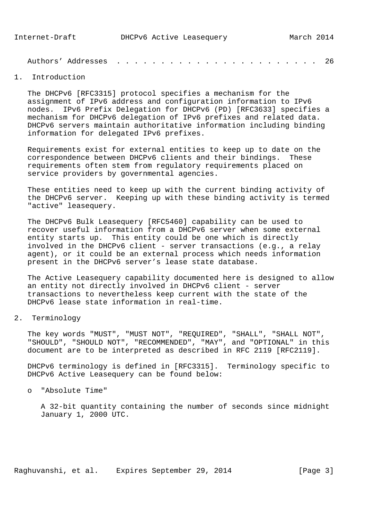| Authors' Addresses |  |  |  |  |  |  |  |  |  |  |  |  |  |  |  |  |  |  |  |  |  |  |  | -26 |  |
|--------------------|--|--|--|--|--|--|--|--|--|--|--|--|--|--|--|--|--|--|--|--|--|--|--|-----|--|
|--------------------|--|--|--|--|--|--|--|--|--|--|--|--|--|--|--|--|--|--|--|--|--|--|--|-----|--|

# 1. Introduction

 The DHCPv6 [RFC3315] protocol specifies a mechanism for the assignment of IPv6 address and configuration information to IPv6 nodes. IPv6 Prefix Delegation for DHCPv6 (PD) [RFC3633] specifies a mechanism for DHCPv6 delegation of IPv6 prefixes and related data. DHCPv6 servers maintain authoritative information including binding information for delegated IPv6 prefixes.

 Requirements exist for external entities to keep up to date on the correspondence between DHCPv6 clients and their bindings. These requirements often stem from regulatory requirements placed on service providers by governmental agencies.

 These entities need to keep up with the current binding activity of the DHCPv6 server. Keeping up with these binding activity is termed "active" leasequery.

 The DHCPv6 Bulk Leasequery [RFC5460] capability can be used to recover useful information from a DHCPv6 server when some external entity starts up. This entity could be one which is directly involved in the DHCPv6 client - server transactions (e.g., a relay agent), or it could be an external process which needs information present in the DHCPv6 server's lease state database.

 The Active Leasequery capability documented here is designed to allow an entity not directly involved in DHCPv6 client - server transactions to nevertheless keep current with the state of the DHCPv6 lease state information in real-time.

2. Terminology

 The key words "MUST", "MUST NOT", "REQUIRED", "SHALL", "SHALL NOT", "SHOULD", "SHOULD NOT", "RECOMMENDED", "MAY", and "OPTIONAL" in this document are to be interpreted as described in RFC 2119 [RFC2119].

 DHCPv6 terminology is defined in [RFC3315]. Terminology specific to DHCPv6 Active Leasequery can be found below:

o "Absolute Time"

 A 32-bit quantity containing the number of seconds since midnight January 1, 2000 UTC.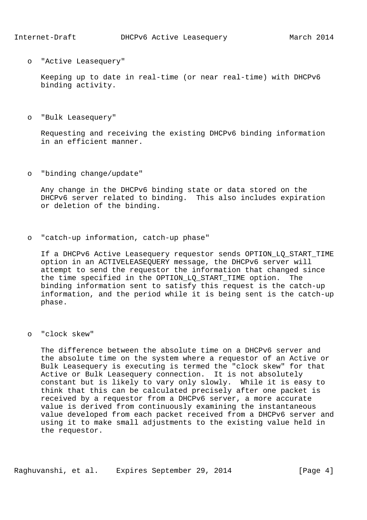o "Active Leasequery"

 Keeping up to date in real-time (or near real-time) with DHCPv6 binding activity.

o "Bulk Leasequery"

 Requesting and receiving the existing DHCPv6 binding information in an efficient manner.

o "binding change/update"

 Any change in the DHCPv6 binding state or data stored on the DHCPv6 server related to binding. This also includes expiration or deletion of the binding.

o "catch-up information, catch-up phase"

 If a DHCPv6 Active Leasequery requestor sends OPTION\_LQ\_START\_TIME option in an ACTIVELEASEQUERY message, the DHCPv6 server will attempt to send the requestor the information that changed since the time specified in the OPTION\_LQ\_START\_TIME option. The binding information sent to satisfy this request is the catch-up information, and the period while it is being sent is the catch-up phase.

o "clock skew"

 The difference between the absolute time on a DHCPv6 server and the absolute time on the system where a requestor of an Active or Bulk Leasequery is executing is termed the "clock skew" for that Active or Bulk Leasequery connection. It is not absolutely constant but is likely to vary only slowly. While it is easy to think that this can be calculated precisely after one packet is received by a requestor from a DHCPv6 server, a more accurate value is derived from continuously examining the instantaneous value developed from each packet received from a DHCPv6 server and using it to make small adjustments to the existing value held in the requestor.

Raghuvanshi, et al. Expires September 29, 2014 [Page 4]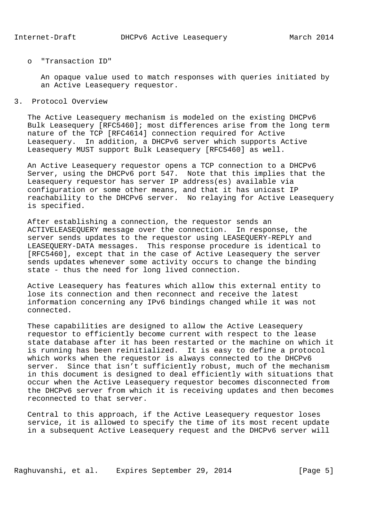#### o "Transaction ID"

 An opaque value used to match responses with queries initiated by an Active Leasequery requestor.

3. Protocol Overview

 The Active Leasequery mechanism is modeled on the existing DHCPv6 Bulk Leasequery [RFC5460]; most differences arise from the long term nature of the TCP [RFC4614] connection required for Active Leasequery. In addition, a DHCPv6 server which supports Active Leasequery MUST support Bulk Leasequery [RFC5460] as well.

 An Active Leasequery requestor opens a TCP connection to a DHCPv6 Server, using the DHCPv6 port 547. Note that this implies that the Leasequery requestor has server IP address(es) available via configuration or some other means, and that it has unicast IP reachability to the DHCPv6 server. No relaying for Active Leasequery is specified.

 After establishing a connection, the requestor sends an ACTIVELEASEQUERY message over the connection. In response, the server sends updates to the requestor using LEASEQUERY-REPLY and LEASEQUERY-DATA messages. This response procedure is identical to [RFC5460], except that in the case of Active Leasequery the server sends updates whenever some activity occurs to change the binding state - thus the need for long lived connection.

 Active Leasequery has features which allow this external entity to lose its connection and then reconnect and receive the latest information concerning any IPv6 bindings changed while it was not connected.

 These capabilities are designed to allow the Active Leasequery requestor to efficiently become current with respect to the lease state database after it has been restarted or the machine on which it is running has been reinitialized. It is easy to define a protocol which works when the requestor is always connected to the DHCPv6 server. Since that isn't sufficiently robust, much of the mechanism in this document is designed to deal efficiently with situations that occur when the Active Leasequery requestor becomes disconnected from the DHCPv6 server from which it is receiving updates and then becomes reconnected to that server.

 Central to this approach, if the Active Leasequery requestor loses service, it is allowed to specify the time of its most recent update in a subsequent Active Leasequery request and the DHCPv6 server will

Raghuvanshi, et al. Expires September 29, 2014 [Page 5]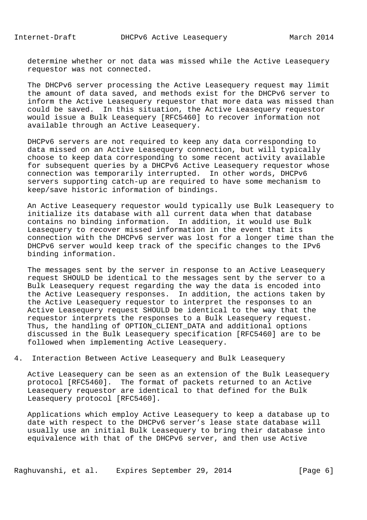determine whether or not data was missed while the Active Leasequery requestor was not connected.

 The DHCPv6 server processing the Active Leasequery request may limit the amount of data saved, and methods exist for the DHCPv6 server to inform the Active Leasequery requestor that more data was missed than could be saved. In this situation, the Active Leasequery requestor would issue a Bulk Leasequery [RFC5460] to recover information not available through an Active Leasequery.

 DHCPv6 servers are not required to keep any data corresponding to data missed on an Active Leasequery connection, but will typically choose to keep data corresponding to some recent activity available for subsequent queries by a DHCPv6 Active Leasequery requestor whose connection was temporarily interrupted. In other words, DHCPv6 servers supporting catch-up are required to have some mechanism to keep/save historic information of bindings.

 An Active Leasequery requestor would typically use Bulk Leasequery to initialize its database with all current data when that database contains no binding information. In addition, it would use Bulk Leasequery to recover missed information in the event that its connection with the DHCPv6 server was lost for a longer time than the DHCPv6 server would keep track of the specific changes to the IPv6 binding information.

 The messages sent by the server in response to an Active Leasequery request SHOULD be identical to the messages sent by the server to a Bulk Leasequery request regarding the way the data is encoded into the Active Leasequery responses. In addition, the actions taken by the Active Leasequery requestor to interpret the responses to an Active Leasequery request SHOULD be identical to the way that the requestor interprets the responses to a Bulk Leasequery request. Thus, the handling of OPTION\_CLIENT\_DATA and additional options discussed in the Bulk Leasequery specification [RFC5460] are to be followed when implementing Active Leasequery.

4. Interaction Between Active Leasequery and Bulk Leasequery

 Active Leasequery can be seen as an extension of the Bulk Leasequery protocol [RFC5460]. The format of packets returned to an Active Leasequery requestor are identical to that defined for the Bulk Leasequery protocol [RFC5460].

 Applications which employ Active Leasequery to keep a database up to date with respect to the DHCPv6 server's lease state database will usually use an initial Bulk Leasequery to bring their database into equivalence with that of the DHCPv6 server, and then use Active

Raghuvanshi, et al. Expires September 29, 2014 [Page 6]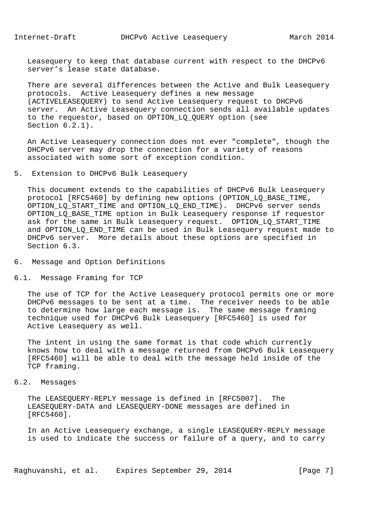Leasequery to keep that database current with respect to the DHCPv6 server's lease state database.

 There are several differences between the Active and Bulk Leasequery protocols. Active Leasequery defines a new message (ACTIVELEASEQUERY) to send Active Leasequery request to DHCPv6 server. An Active Leasequery connection sends all available updates to the requestor, based on OPTION\_LQ\_QUERY option (see Section 6.2.1).

 An Active Leasequery connection does not ever "complete", though the DHCPv6 server may drop the connection for a variety of reasons associated with some sort of exception condition.

## 5. Extension to DHCPv6 Bulk Leasequery

 This document extends to the capabilities of DHCPv6 Bulk Leasequery protocol [RFC5460] by defining new options (OPTION\_LQ\_BASE\_TIME, OPTION LO START TIME and OPTION LO END TIME). DHCPv6 server sends OPTION\_LQ\_BASE\_TIME option in Bulk Leasequery response if requestor ask for the same in Bulk Leasequery request. OPTION\_LQ\_START\_TIME and OPTION LQ END TIME can be used in Bulk Leasequery request made to DHCPv6 server. More details about these options are specified in Section 6.3.

- 6. Message and Option Definitions
- 6.1. Message Framing for TCP

 The use of TCP for the Active Leasequery protocol permits one or more DHCPv6 messages to be sent at a time. The receiver needs to be able to determine how large each message is. The same message framing technique used for DHCPv6 Bulk Leasequery [RFC5460] is used for Active Leasequery as well.

 The intent in using the same format is that code which currently knows how to deal with a message returned from DHCPv6 Bulk Leasequery [RFC5460] will be able to deal with the message held inside of the TCP framing.

6.2. Messages

 The LEASEQUERY-REPLY message is defined in [RFC5007]. The LEASEQUERY-DATA and LEASEQUERY-DONE messages are defined in [RFC5460].

 In an Active Leasequery exchange, a single LEASEQUERY-REPLY message is used to indicate the success or failure of a query, and to carry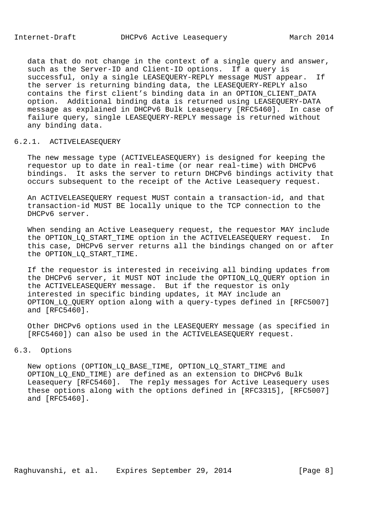data that do not change in the context of a single query and answer, such as the Server-ID and Client-ID options. If a query is successful, only a single LEASEQUERY-REPLY message MUST appear. If the server is returning binding data, the LEASEQUERY-REPLY also contains the first client's binding data in an OPTION\_CLIENT\_DATA option. Additional binding data is returned using LEASEQUERY-DATA message as explained in DHCPv6 Bulk Leasequery [RFC5460]. In case of failure query, single LEASEQUERY-REPLY message is returned without any binding data.

## 6.2.1. ACTIVELEASEQUERY

 The new message type (ACTIVELEASEQUERY) is designed for keeping the requestor up to date in real-time (or near real-time) with DHCPv6 bindings. It asks the server to return DHCPv6 bindings activity that occurs subsequent to the receipt of the Active Leasequery request.

 An ACTIVELEASEQUERY request MUST contain a transaction-id, and that transaction-id MUST BE locally unique to the TCP connection to the DHCPv6 server.

 When sending an Active Leasequery request, the requestor MAY include the OPTION\_LQ\_START\_TIME option in the ACTIVELEASEQUERY request. In this case, DHCPv6 server returns all the bindings changed on or after the OPTION\_LQ\_START\_TIME.

 If the requestor is interested in receiving all binding updates from the DHCPv6 server, it MUST NOT include the OPTION\_LQ\_QUERY option in the ACTIVELEASEQUERY message. But if the requestor is only interested in specific binding updates, it MAY include an OPTION\_LQ\_QUERY option along with a query-types defined in [RFC5007] and [RFC5460].

 Other DHCPv6 options used in the LEASEQUERY message (as specified in [RFC5460]) can also be used in the ACTIVELEASEQUERY request.

# 6.3. Options

 New options (OPTION\_LQ\_BASE\_TIME, OPTION\_LQ\_START\_TIME and OPTION\_LQ\_END\_TIME) are defined as an extension to DHCPv6 Bulk Leasequery [RFC5460]. The reply messages for Active Leasequery uses these options along with the options defined in [RFC3315], [RFC5007] and [RFC5460].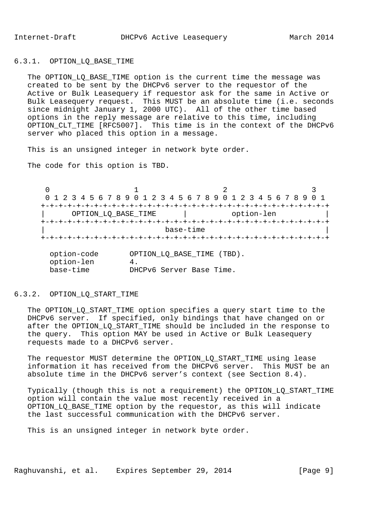## 6.3.1. OPTION\_LQ\_BASE\_TIME

 The OPTION\_LQ\_BASE\_TIME option is the current time the message was created to be sent by the DHCPv6 server to the requestor of the Active or Bulk Leasequery if requestor ask for the same in Active or Bulk Leasequery request. This MUST be an absolute time (i.e. seconds since midnight January 1, 2000 UTC). All of the other time based options in the reply message are relative to this time, including OPTION CLT TIME [RFC5007]. This time is in the context of the DHCPv6 server who placed this option in a message.

This is an unsigned integer in network byte order.

The code for this option is TBD.

 $0$  and  $1$  and  $2$  3 0 1 2 3 4 5 6 7 8 9 0 1 2 3 4 5 6 7 8 9 0 1 2 3 4 5 6 7 8 9 0 1 +-+-+-+-+-+-+-+-+-+-+-+-+-+-+-+-+-+-+-+-+-+-+-+-+-+-+-+-+-+-+-+-+ | OPTION\_LQ\_BASE\_TIME | option-len | +-+-+-+-+-+-+-+-+-+-+-+-+-+-+-+-+-+-+-+-+-+-+-+-+-+-+-+-+-+-+-+-+ | base-time | +-+-+-+-+-+-+-+-+-+-+-+-+-+-+-+-+-+-+-+-+-+-+-+-+-+-+-+-+-+-+-+-+

| option-code | OPTION LO BASE TIME (TBD). |
|-------------|----------------------------|
| option-len  |                            |
| base-time   | DHCPv6 Server Base Time.   |

## 6.3.2. OPTION\_LQ\_START\_TIME

The OPTION\_LQ\_START\_TIME option specifies a query start time to the DHCPv6 server. If specified, only bindings that have changed on or after the OPTION\_LQ\_START\_TIME should be included in the response to the query. This option MAY be used in Active or Bulk Leasequery requests made to a DHCPv6 server.

The requestor MUST determine the OPTION LO START TIME using lease information it has received from the DHCPv6 server. This MUST be an absolute time in the DHCPv6 server's context (see Section 8.4).

 Typically (though this is not a requirement) the OPTION\_LQ\_START\_TIME option will contain the value most recently received in a OPTION\_LQ\_BASE\_TIME option by the requestor, as this will indicate the last successful communication with the DHCPv6 server.

This is an unsigned integer in network byte order.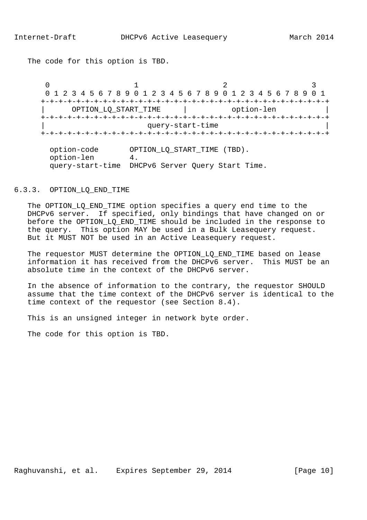The code for this option is TBD.

 $0$  and  $1$  and  $2$  3 0 1 2 3 4 5 6 7 8 9 0 1 2 3 4 5 6 7 8 9 0 1 2 3 4 5 6 7 8 9 0 1 +-+-+-+-+-+-+-+-+-+-+-+-+-+-+-+-+-+-+-+-+-+-+-+-+-+-+-+-+-+-+-+-+ OPTION\_LQ\_START\_TIME | option-len +-+-+-+-+-+-+-+-+-+-+-+-+-+-+-+-+-+-+-+-+-+-+-+-+-+-+-+-+-+-+-+-+ query-start-time +-+-+-+-+-+-+-+-+-+-+-+-+-+-+-+-+-+-+-+-+-+-+-+-+-+-+-+-+-+-+-+-+

 option-code OPTION\_LQ\_START\_TIME (TBD). option-len 4. query-start-time DHCPv6 Server Query Start Time.

#### 6.3.3. OPTION\_LQ\_END\_TIME

The OPTION LQ END TIME option specifies a query end time to the DHCPv6 server. If specified, only bindings that have changed on or before the OPTION\_LQ\_END\_TIME should be included in the response to the query. This option MAY be used in a Bulk Leasequery request. But it MUST NOT be used in an Active Leasequery request.

The requestor MUST determine the OPTION LO END TIME based on lease information it has received from the DHCPv6 server. This MUST be an absolute time in the context of the DHCPv6 server.

 In the absence of information to the contrary, the requestor SHOULD assume that the time context of the DHCPv6 server is identical to the time context of the requestor (see Section 8.4).

This is an unsigned integer in network byte order.

The code for this option is TBD.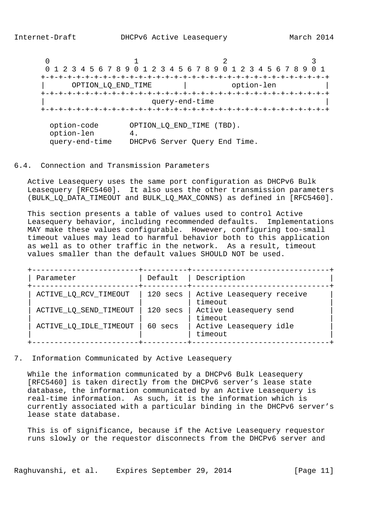$0$  and  $1$  and  $2$  3 0 1 2 3 4 5 6 7 8 9 0 1 2 3 4 5 6 7 8 9 0 1 2 3 4 5 6 7 8 9 0 1 +-+-+-+-+-+-+-+-+-+-+-+-+-+-+-+-+-+-+-+-+-+-+-+-+-+-+-+-+-+-+-+-+ | OPTION\_LQ\_END\_TIME | option-len | +-+-+-+-+-+-+-+-+-+-+-+-+-+-+-+-+-+-+-+-+-+-+-+-+-+-+-+-+-+-+-+-+ query-end-time +-+-+-+-+-+-+-+-+-+-+-+-+-+-+-+-+-+-+-+-+-+-+-+-+-+-+-+-+-+-+-+-+ option-code OPTION\_LQ\_END\_TIME (TBD). option-len 4. query-end-time DHCPv6 Server Query End Time.

# 6.4. Connection and Transmission Parameters

 Active Leasequery uses the same port configuration as DHCPv6 Bulk Leasequery [RFC5460]. It also uses the other transmission parameters (BULK\_LQ\_DATA\_TIMEOUT and BULK\_LQ\_MAX\_CONNS) as defined in [RFC5460].

 This section presents a table of values used to control Active Leasequery behavior, including recommended defaults. Implementations MAY make these values configurable. However, configuring too-small timeout values may lead to harmful behavior both to this application as well as to other traffic in the network. As a result, timeout values smaller than the default values SHOULD NOT be used.

| Parameter              | Default    | Description                          |
|------------------------|------------|--------------------------------------|
| ACTIVE_LQ_RCV_TIMEOUT  | 120 secs   | Active Leasequery receive<br>timeout |
| ACTIVE_LQ_SEND_TIMEOUT | $120$ secs | Active Leasequery send<br>timeout    |
| ACTIVE_LQ_IDLE_TIMEOUT | 60 secs    | Active Leasequery idle<br>timeout    |

7. Information Communicated by Active Leasequery

 While the information communicated by a DHCPv6 Bulk Leasequery [RFC5460] is taken directly from the DHCPv6 server's lease state database, the information communicated by an Active Leasequery is real-time information. As such, it is the information which is currently associated with a particular binding in the DHCPv6 server's lease state database.

 This is of significance, because if the Active Leasequery requestor runs slowly or the requestor disconnects from the DHCPv6 server and

Raghuvanshi, et al. Expires September 29, 2014 [Page 11]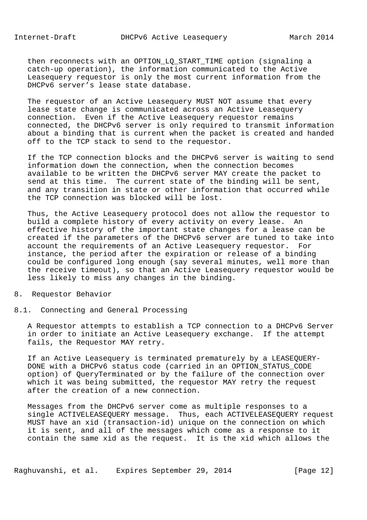then reconnects with an OPTION LO START TIME option (signaling a catch-up operation), the information communicated to the Active Leasequery requestor is only the most current information from the DHCPv6 server's lease state database.

 The requestor of an Active Leasequery MUST NOT assume that every lease state change is communicated across an Active Leasequery connection. Even if the Active Leasequery requestor remains connected, the DHCPv6 server is only required to transmit information about a binding that is current when the packet is created and handed off to the TCP stack to send to the requestor.

 If the TCP connection blocks and the DHCPv6 server is waiting to send information down the connection, when the connection becomes available to be written the DHCPv6 server MAY create the packet to send at this time. The current state of the binding will be sent, and any transition in state or other information that occurred while the TCP connection was blocked will be lost.

 Thus, the Active Leasequery protocol does not allow the requestor to build a complete history of every activity on every lease. An effective history of the important state changes for a lease can be created if the parameters of the DHCPv6 server are tuned to take into account the requirements of an Active Leasequery requestor. For instance, the period after the expiration or release of a binding could be configured long enough (say several minutes, well more than the receive timeout), so that an Active Leasequery requestor would be less likely to miss any changes in the binding.

## 8. Requestor Behavior

## 8.1. Connecting and General Processing

 A Requestor attempts to establish a TCP connection to a DHCPv6 Server in order to initiate an Active Leasequery exchange. If the attempt fails, the Requestor MAY retry.

 If an Active Leasequery is terminated prematurely by a LEASEQUERY- DONE with a DHCPv6 status code (carried in an OPTION\_STATUS\_CODE option) of QueryTerminated or by the failure of the connection over which it was being submitted, the requestor MAY retry the request after the creation of a new connection.

 Messages from the DHCPv6 server come as multiple responses to a single ACTIVELEASEQUERY message. Thus, each ACTIVELEASEQUERY request MUST have an xid (transaction-id) unique on the connection on which it is sent, and all of the messages which come as a response to it contain the same xid as the request. It is the xid which allows the

Raghuvanshi, et al. Expires September 29, 2014 [Page 12]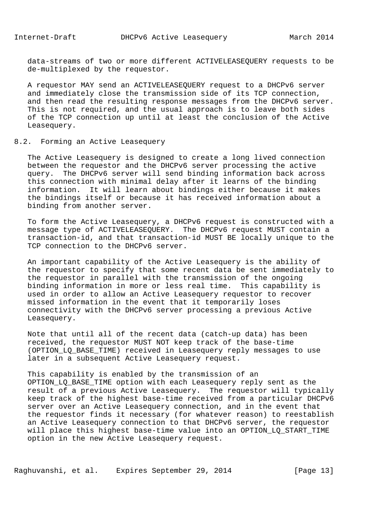data-streams of two or more different ACTIVELEASEQUERY requests to be de-multiplexed by the requestor.

 A requestor MAY send an ACTIVELEASEQUERY request to a DHCPv6 server and immediately close the transmission side of its TCP connection, and then read the resulting response messages from the DHCPv6 server. This is not required, and the usual approach is to leave both sides of the TCP connection up until at least the conclusion of the Active Leasequery.

## 8.2. Forming an Active Leasequery

 The Active Leasequery is designed to create a long lived connection between the requestor and the DHCPv6 server processing the active query. The DHCPv6 server will send binding information back across this connection with minimal delay after it learns of the binding information. It will learn about bindings either because it makes the bindings itself or because it has received information about a binding from another server.

 To form the Active Leasequery, a DHCPv6 request is constructed with a message type of ACTIVELEASEQUERY. The DHCPv6 request MUST contain a transaction-id, and that transaction-id MUST BE locally unique to the TCP connection to the DHCPv6 server.

 An important capability of the Active Leasequery is the ability of the requestor to specify that some recent data be sent immediately to the requestor in parallel with the transmission of the ongoing binding information in more or less real time. This capability is used in order to allow an Active Leasequery requestor to recover missed information in the event that it temporarily loses connectivity with the DHCPv6 server processing a previous Active Leasequery.

 Note that until all of the recent data (catch-up data) has been received, the requestor MUST NOT keep track of the base-time (OPTION\_LQ\_BASE\_TIME) received in Leasequery reply messages to use later in a subsequent Active Leasequery request.

 This capability is enabled by the transmission of an OPTION LO BASE TIME option with each Leasequery reply sent as the result of a previous Active Leasequery. The requestor will typically keep track of the highest base-time received from a particular DHCPv6 server over an Active Leasequery connection, and in the event that the requestor finds it necessary (for whatever reason) to reestablish an Active Leasequery connection to that DHCPv6 server, the requestor will place this highest base-time value into an OPTION\_LQ\_START\_TIME option in the new Active Leasequery request.

Raghuvanshi, et al. Expires September 29, 2014 [Page 13]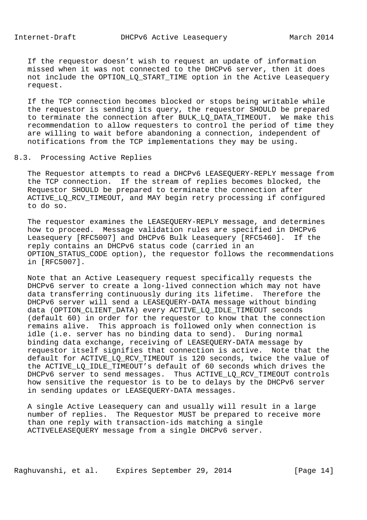If the requestor doesn't wish to request an update of information missed when it was not connected to the DHCPv6 server, then it does not include the OPTION\_LQ\_START\_TIME option in the Active Leasequery request.

 If the TCP connection becomes blocked or stops being writable while the requestor is sending its query, the requestor SHOULD be prepared to terminate the connection after BULK\_LQ\_DATA\_TIMEOUT. We make this recommendation to allow requesters to control the period of time they are willing to wait before abandoning a connection, independent of notifications from the TCP implementations they may be using.

#### 8.3. Processing Active Replies

 The Requestor attempts to read a DHCPv6 LEASEQUERY-REPLY message from the TCP connection. If the stream of replies becomes blocked, the Requestor SHOULD be prepared to terminate the connection after ACTIVE\_LQ\_RCV\_TIMEOUT, and MAY begin retry processing if configured to do so.

 The requestor examines the LEASEQUERY-REPLY message, and determines how to proceed. Message validation rules are specified in DHCPv6 Leasequery [RFC5007] and DHCPv6 Bulk Leasequery [RFC5460]. If the reply contains an DHCPv6 status code (carried in an OPTION\_STATUS\_CODE option), the requestor follows the recommendations in [RFC5007].

 Note that an Active Leasequery request specifically requests the DHCPv6 server to create a long-lived connection which may not have data transferring continuously during its lifetime. Therefore the DHCPv6 server will send a LEASEQUERY-DATA message without binding data (OPTION\_CLIENT\_DATA) every ACTIVE\_LQ\_IDLE\_TIMEOUT seconds (default 60) in order for the requestor to know that the connection remains alive. This approach is followed only when connection is idle (i.e. server has no binding data to send). During normal binding data exchange, receiving of LEASEQUERY-DATA message by requestor itself signifies that connection is active. Note that the default for ACTIVE\_LQ\_RCV\_TIMEOUT is 120 seconds, twice the value of the ACTIVE\_LQ\_IDLE\_TIMEOUT's default of 60 seconds which drives the DHCPv6 server to send messages. Thus ACTIVE\_LQ\_RCV\_TIMEOUT controls how sensitive the requestor is to be to delays by the DHCPv6 server in sending updates or LEASEQUERY-DATA messages.

 A single Active Leasequery can and usually will result in a large number of replies. The Requestor MUST be prepared to receive more than one reply with transaction-ids matching a single ACTIVELEASEQUERY message from a single DHCPv6 server.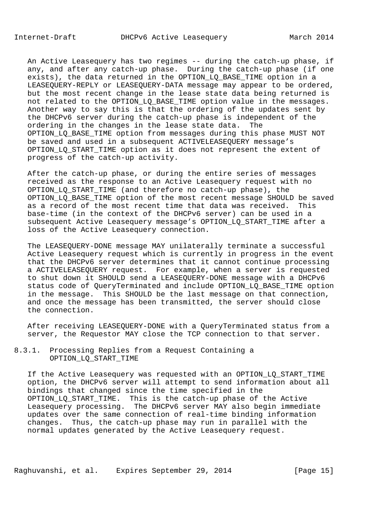An Active Leasequery has two regimes -- during the catch-up phase, if any, and after any catch-up phase. During the catch-up phase (if one exists), the data returned in the OPTION\_LQ\_BASE\_TIME option in a LEASEQUERY-REPLY or LEASEQUERY-DATA message may appear to be ordered, but the most recent change in the lease state data being returned is not related to the OPTION\_LQ\_BASE\_TIME option value in the messages. Another way to say this is that the ordering of the updates sent by the DHCPv6 server during the catch-up phase is independent of the ordering in the changes in the lease state data. The OPTION LO BASE TIME option from messages during this phase MUST NOT be saved and used in a subsequent ACTIVELEASEQUERY message's OPTION\_LQ\_START\_TIME option as it does not represent the extent of progress of the catch-up activity.

 After the catch-up phase, or during the entire series of messages received as the response to an Active Leasequery request with no OPTION\_LQ\_START\_TIME (and therefore no catch-up phase), the OPTION\_LQ\_BASE\_TIME option of the most recent message SHOULD be saved as a record of the most recent time that data was received. This base-time (in the context of the DHCPv6 server) can be used in a subsequent Active Leasequery message's OPTION\_LQ\_START\_TIME after a loss of the Active Leasequery connection.

 The LEASEQUERY-DONE message MAY unilaterally terminate a successful Active Leasequery request which is currently in progress in the event that the DHCPv6 server determines that it cannot continue processing a ACTIVELEASEQUERY request. For example, when a server is requested to shut down it SHOULD send a LEASEQUERY-DONE message with a DHCPv6 status code of QueryTerminated and include OPTION\_LQ\_BASE\_TIME option in the message. This SHOULD be the last message on that connection, and once the message has been transmitted, the server should close the connection.

 After receiving LEASEQUERY-DONE with a QueryTerminated status from a server, the Requestor MAY close the TCP connection to that server.

8.3.1. Processing Replies from a Request Containing a OPTION\_LQ\_START\_TIME

 If the Active Leasequery was requested with an OPTION\_LQ\_START\_TIME option, the DHCPv6 server will attempt to send information about all bindings that changed since the time specified in the OPTION\_LQ\_START\_TIME. This is the catch-up phase of the Active Leasequery processing. The DHCPv6 server MAY also begin immediate updates over the same connection of real-time binding information changes. Thus, the catch-up phase may run in parallel with the normal updates generated by the Active Leasequery request.

Raghuvanshi, et al. Expires September 29, 2014 [Page 15]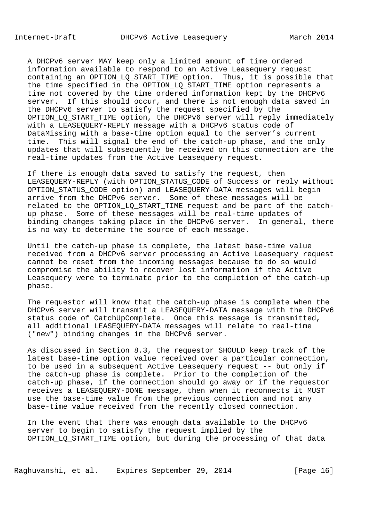A DHCPv6 server MAY keep only a limited amount of time ordered information available to respond to an Active Leasequery request containing an OPTION\_LQ\_START\_TIME option. Thus, it is possible that the time specified in the OPTION LO START TIME option represents a time not covered by the time ordered information kept by the DHCPv6 server. If this should occur, and there is not enough data saved in the DHCPv6 server to satisfy the request specified by the OPTION\_LQ\_START\_TIME option, the DHCPv6 server will reply immediately with a LEASEQUERY-REPLY message with a DHCPv6 status code of DataMissing with a base-time option equal to the server's current time. This will signal the end of the catch-up phase, and the only updates that will subsequently be received on this connection are the real-time updates from the Active Leasequery request.

 If there is enough data saved to satisfy the request, then LEASEQUERY-REPLY (with OPTION STATUS CODE of Success or reply without OPTION\_STATUS\_CODE option) and LEASEQUERY-DATA messages will begin arrive from the DHCPv6 server. Some of these messages will be related to the OPTION\_LQ\_START\_TIME request and be part of the catch up phase. Some of these messages will be real-time updates of binding changes taking place in the DHCPv6 server. In general, there is no way to determine the source of each message.

 Until the catch-up phase is complete, the latest base-time value received from a DHCPv6 server processing an Active Leasequery request cannot be reset from the incoming messages because to do so would compromise the ability to recover lost information if the Active Leasequery were to terminate prior to the completion of the catch-up phase.

 The requestor will know that the catch-up phase is complete when the DHCPv6 server will transmit a LEASEQUERY-DATA message with the DHCPv6 status code of CatchUpComplete. Once this message is transmitted, all additional LEASEQUERY-DATA messages will relate to real-time ("new") binding changes in the DHCPv6 server.

 As discussed in Section 8.3, the requestor SHOULD keep track of the latest base-time option value received over a particular connection, to be used in a subsequent Active Leasequery request -- but only if the catch-up phase is complete. Prior to the completion of the catch-up phase, if the connection should go away or if the requestor receives a LEASEQUERY-DONE message, then when it reconnects it MUST use the base-time value from the previous connection and not any base-time value received from the recently closed connection.

 In the event that there was enough data available to the DHCPv6 server to begin to satisfy the request implied by the OPTION LO START TIME option, but during the processing of that data

Raghuvanshi, et al. Expires September 29, 2014 [Page 16]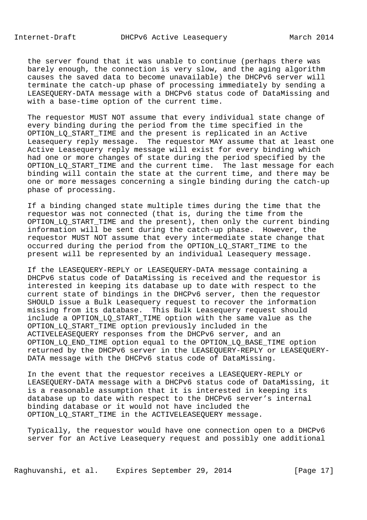the server found that it was unable to continue (perhaps there was barely enough, the connection is very slow, and the aging algorithm causes the saved data to become unavailable) the DHCPv6 server will terminate the catch-up phase of processing immediately by sending a LEASEQUERY-DATA message with a DHCPv6 status code of DataMissing and with a base-time option of the current time.

 The requestor MUST NOT assume that every individual state change of every binding during the period from the time specified in the OPTION\_LQ\_START\_TIME and the present is replicated in an Active Leasequery reply message. The requestor MAY assume that at least one Active Leasequery reply message will exist for every binding which had one or more changes of state during the period specified by the OPTION LO START TIME and the current time. The last message for each binding will contain the state at the current time, and there may be one or more messages concerning a single binding during the catch-up phase of processing.

 If a binding changed state multiple times during the time that the requestor was not connected (that is, during the time from the OPTION\_LQ\_START\_TIME and the present), then only the current binding information will be sent during the catch-up phase. However, the requestor MUST NOT assume that every intermediate state change that occurred during the period from the OPTION\_LQ\_START\_TIME to the present will be represented by an individual Leasequery message.

 If the LEASEQUERY-REPLY or LEASEQUERY-DATA message containing a DHCPv6 status code of DataMissing is received and the requestor is interested in keeping its database up to date with respect to the current state of bindings in the DHCPv6 server, then the requestor SHOULD issue a Bulk Leasequery request to recover the information missing from its database. This Bulk Leasequery request should include a OPTION\_LQ\_START\_TIME option with the same value as the OPTION\_LQ\_START\_TIME option previously included in the ACTIVELEASEQUERY responses from the DHCPv6 server, and an OPTION\_LQ\_END\_TIME option equal to the OPTION\_LQ\_BASE\_TIME option returned by the DHCPv6 server in the LEASEQUERY-REPLY or LEASEQUERY- DATA message with the DHCPv6 status code of DataMissing.

 In the event that the requestor receives a LEASEQUERY-REPLY or LEASEQUERY-DATA message with a DHCPv6 status code of DataMissing, it is a reasonable assumption that it is interested in keeping its database up to date with respect to the DHCPv6 server's internal binding database or it would not have included the OPTION\_LQ\_START\_TIME in the ACTIVELEASEQUERY message.

 Typically, the requestor would have one connection open to a DHCPv6 server for an Active Leasequery request and possibly one additional

Raghuvanshi, et al. Expires September 29, 2014 [Page 17]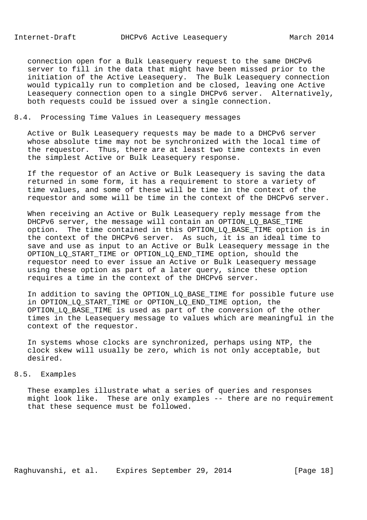connection open for a Bulk Leasequery request to the same DHCPv6 server to fill in the data that might have been missed prior to the initiation of the Active Leasequery. The Bulk Leasequery connection would typically run to completion and be closed, leaving one Active Leasequery connection open to a single DHCPv6 server. Alternatively, both requests could be issued over a single connection.

# 8.4. Processing Time Values in Leasequery messages

 Active or Bulk Leasequery requests may be made to a DHCPv6 server whose absolute time may not be synchronized with the local time of the requestor. Thus, there are at least two time contexts in even the simplest Active or Bulk Leasequery response.

 If the requestor of an Active or Bulk Leasequery is saving the data returned in some form, it has a requirement to store a variety of time values, and some of these will be time in the context of the requestor and some will be time in the context of the DHCPv6 server.

 When receiving an Active or Bulk Leasequery reply message from the DHCPv6 server, the message will contain an OPTION\_LQ\_BASE\_TIME option. The time contained in this OPTION\_LQ\_BASE\_TIME option is in the context of the DHCPv6 server. As such, it is an ideal time to save and use as input to an Active or Bulk Leasequery message in the OPTION\_LQ\_START\_TIME or OPTION\_LQ\_END\_TIME option, should the requestor need to ever issue an Active or Bulk Leasequery message using these option as part of a later query, since these option requires a time in the context of the DHCPv6 server.

In addition to saving the OPTION LO BASE TIME for possible future use in OPTION\_LQ\_START\_TIME or OPTION\_LQ\_END\_TIME option, the OPTION\_LQ\_BASE\_TIME is used as part of the conversion of the other times in the Leasequery message to values which are meaningful in the context of the requestor.

 In systems whose clocks are synchronized, perhaps using NTP, the clock skew will usually be zero, which is not only acceptable, but desired.

# 8.5. Examples

 These examples illustrate what a series of queries and responses might look like. These are only examples -- there are no requirement that these sequence must be followed.

Raghuvanshi, et al. Expires September 29, 2014 [Page 18]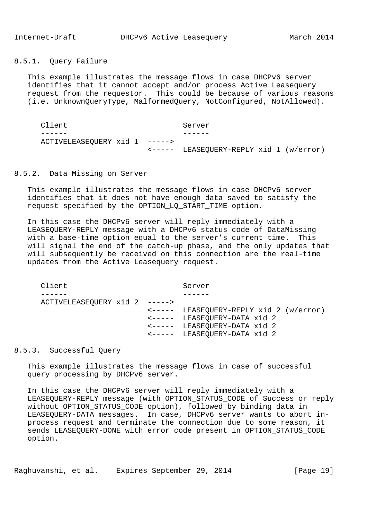8.5.1. Query Failure

 This example illustrates the message flows in case DHCPv6 server identifies that it cannot accept and/or process Active Leasequery request from the requestor. This could be because of various reasons (i.e. UnknownQueryType, MalformedQuery, NotConfigured, NotAllowed).

Client Server ------ ------ ACTIVELEASEQUERY xid 1 -----> <----- LEASEQUERY-REPLY xid 1 (w/error)

## 8.5.2. Data Missing on Server

 This example illustrates the message flows in case DHCPv6 server identifies that it does not have enough data saved to satisfy the request specified by the OPTION\_LQ\_START\_TIME option.

 In this case the DHCPv6 server will reply immediately with a LEASEQUERY-REPLY message with a DHCPv6 status code of DataMissing with a base-time option equal to the server's current time. This will signal the end of the catch-up phase, and the only updates that will subsequently be received on this connection are the real-time updates from the Active Leasequery request.

Client Server ------ ------ ACTIVELEASEQUERY xid 2 -----> <----- LEASEQUERY-REPLY xid 2 (w/error) <----- LEASEQUERY-DATA xid 2 <----- LEASEQUERY-DATA xid 2 <----- LEASEQUERY-DATA xid 2

## 8.5.3. Successful Query

 This example illustrates the message flows in case of successful query processing by DHCPv6 server.

 In this case the DHCPv6 server will reply immediately with a LEASEQUERY-REPLY message (with OPTION\_STATUS\_CODE of Success or reply without OPTION\_STATUS\_CODE option), followed by binding data in LEASEQUERY-DATA messages. In case, DHCPv6 server wants to abort in process request and terminate the connection due to some reason, it sends LEASEQUERY-DONE with error code present in OPTION\_STATUS\_CODE option.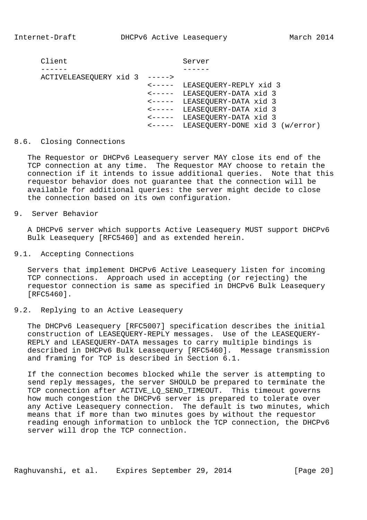Client Server ------ ------ ACTIVELEASEQUERY xid 3 -----> <----- LEASEQUERY-REPLY xid 3 <----- LEASEQUERY-DATA xid 3 <----- LEASEQUERY-DATA xid 3 <----- LEASEQUERY-DATA xid 3 <----- LEASEQUERY-DATA xid 3 <----- LEASEQUERY-DONE xid 3 (w/error)

## 8.6. Closing Connections

 The Requestor or DHCPv6 Leasequery server MAY close its end of the TCP connection at any time. The Requestor MAY choose to retain the connection if it intends to issue additional queries. Note that this requestor behavior does not guarantee that the connection will be available for additional queries: the server might decide to close the connection based on its own configuration.

9. Server Behavior

 A DHCPv6 server which supports Active Leasequery MUST support DHCPv6 Bulk Leasequery [RFC5460] and as extended herein.

9.1. Accepting Connections

 Servers that implement DHCPv6 Active Leasequery listen for incoming TCP connections. Approach used in accepting (or rejecting) the requestor connection is same as specified in DHCPv6 Bulk Leasequery [RFC5460].

## 9.2. Replying to an Active Leasequery

 The DHCPv6 Leasequery [RFC5007] specification describes the initial construction of LEASEQUERY-REPLY messages. Use of the LEASEQUERY- REPLY and LEASEQUERY-DATA messages to carry multiple bindings is described in DHCPv6 Bulk Leasequery [RFC5460]. Message transmission and framing for TCP is described in Section 6.1.

 If the connection becomes blocked while the server is attempting to send reply messages, the server SHOULD be prepared to terminate the TCP connection after ACTIVE LO SEND TIMEOUT. This timeout governs how much congestion the DHCPv6 server is prepared to tolerate over any Active Leasequery connection. The default is two minutes, which means that if more than two minutes goes by without the requestor reading enough information to unblock the TCP connection, the DHCPv6 server will drop the TCP connection.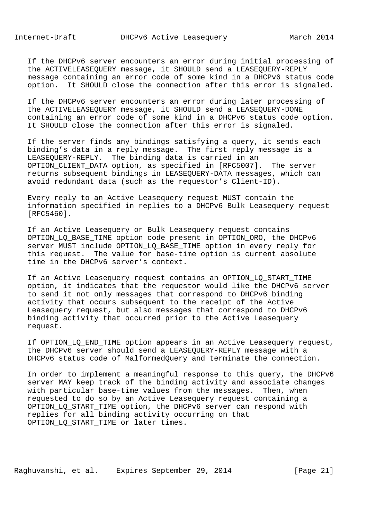If the DHCPv6 server encounters an error during initial processing of the ACTIVELEASEQUERY message, it SHOULD send a LEASEQUERY-REPLY message containing an error code of some kind in a DHCPv6 status code option. It SHOULD close the connection after this error is signaled.

 If the DHCPv6 server encounters an error during later processing of the ACTIVELEASEQUERY message, it SHOULD send a LEASEQUERY-DONE containing an error code of some kind in a DHCPv6 status code option. It SHOULD close the connection after this error is signaled.

 If the server finds any bindings satisfying a query, it sends each binding's data in a reply message. The first reply message is a LEASEQUERY-REPLY. The binding data is carried in an OPTION CLIENT DATA option, as specified in [RFC5007]. The server returns subsequent bindings in LEASEQUERY-DATA messages, which can avoid redundant data (such as the requestor's Client-ID).

 Every reply to an Active Leasequery request MUST contain the information specified in replies to a DHCPv6 Bulk Leasequery request [RFC5460].

 If an Active Leasequery or Bulk Leasequery request contains OPTION\_LQ\_BASE\_TIME option code present in OPTION\_ORO, the DHCPv6 server MUST include OPTION\_LQ\_BASE\_TIME option in every reply for this request. The value for base-time option is current absolute time in the DHCPv6 server's context.

 If an Active Leasequery request contains an OPTION\_LQ\_START\_TIME option, it indicates that the requestor would like the DHCPv6 server to send it not only messages that correspond to DHCPv6 binding activity that occurs subsequent to the receipt of the Active Leasequery request, but also messages that correspond to DHCPv6 binding activity that occurred prior to the Active Leasequery request.

 If OPTION\_LQ\_END\_TIME option appears in an Active Leasequery request, the DHCPv6 server should send a LEASEQUERY-REPLY message with a DHCPv6 status code of MalformedQuery and terminate the connection.

 In order to implement a meaningful response to this query, the DHCPv6 server MAY keep track of the binding activity and associate changes with particular base-time values from the messages. Then, when requested to do so by an Active Leasequery request containing a OPTION\_LQ\_START\_TIME option, the DHCPv6 server can respond with replies for all binding activity occurring on that OPTION\_LQ\_START\_TIME or later times.

Raghuvanshi, et al. Expires September 29, 2014 [Page 21]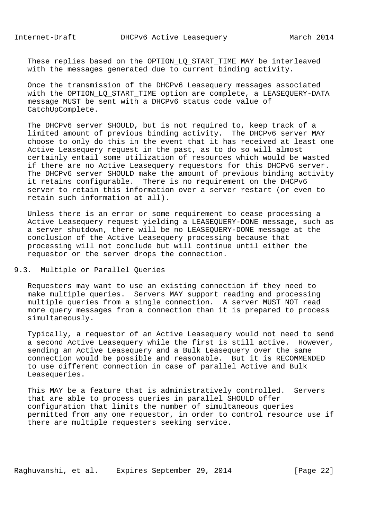These replies based on the OPTION LO START TIME MAY be interleaved with the messages generated due to current binding activity.

 Once the transmission of the DHCPv6 Leasequery messages associated with the OPTION\_LQ\_START\_TIME option are complete, a LEASEQUERY-DATA message MUST be sent with a DHCPv6 status code value of CatchUpComplete.

 The DHCPv6 server SHOULD, but is not required to, keep track of a limited amount of previous binding activity. The DHCPv6 server MAY choose to only do this in the event that it has received at least one Active Leasequery request in the past, as to do so will almost certainly entail some utilization of resources which would be wasted if there are no Active Leasequery requestors for this DHCPv6 server. The DHCPv6 server SHOULD make the amount of previous binding activity it retains configurable. There is no requirement on the DHCPv6 server to retain this information over a server restart (or even to retain such information at all).

 Unless there is an error or some requirement to cease processing a Active Leasequery request yielding a LEASEQUERY-DONE message, such as a server shutdown, there will be no LEASEQUERY-DONE message at the conclusion of the Active Leasequery processing because that processing will not conclude but will continue until either the requestor or the server drops the connection.

# 9.3. Multiple or Parallel Queries

 Requesters may want to use an existing connection if they need to make multiple queries. Servers MAY support reading and processing multiple queries from a single connection. A server MUST NOT read more query messages from a connection than it is prepared to process simultaneously.

 Typically, a requestor of an Active Leasequery would not need to send a second Active Leasequery while the first is still active. However, sending an Active Leasequery and a Bulk Leasequery over the same connection would be possible and reasonable. But it is RECOMMENDED to use different connection in case of parallel Active and Bulk Leasequeries.

 This MAY be a feature that is administratively controlled. Servers that are able to process queries in parallel SHOULD offer configuration that limits the number of simultaneous queries permitted from any one requestor, in order to control resource use if there are multiple requesters seeking service.

Raghuvanshi, et al. Expires September 29, 2014 [Page 22]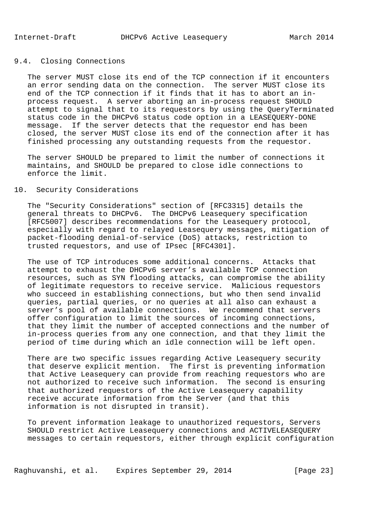# 9.4. Closing Connections

 The server MUST close its end of the TCP connection if it encounters an error sending data on the connection. The server MUST close its end of the TCP connection if it finds that it has to abort an in process request. A server aborting an in-process request SHOULD attempt to signal that to its requestors by using the QueryTerminated status code in the DHCPv6 status code option in a LEASEQUERY-DONE message. If the server detects that the requestor end has been closed, the server MUST close its end of the connection after it has finished processing any outstanding requests from the requestor.

 The server SHOULD be prepared to limit the number of connections it maintains, and SHOULD be prepared to close idle connections to enforce the limit.

# 10. Security Considerations

 The "Security Considerations" section of [RFC3315] details the general threats to DHCPv6. The DHCPv6 Leasequery specification [RFC5007] describes recommendations for the Leasequery protocol, especially with regard to relayed Leasequery messages, mitigation of packet-flooding denial-of-service (DoS) attacks, restriction to trusted requestors, and use of IPsec [RFC4301].

 The use of TCP introduces some additional concerns. Attacks that attempt to exhaust the DHCPv6 server's available TCP connection resources, such as SYN flooding attacks, can compromise the ability of legitimate requestors to receive service. Malicious requestors who succeed in establishing connections, but who then send invalid queries, partial queries, or no queries at all also can exhaust a server's pool of available connections. We recommend that servers offer configuration to limit the sources of incoming connections, that they limit the number of accepted connections and the number of in-process queries from any one connection, and that they limit the period of time during which an idle connection will be left open.

 There are two specific issues regarding Active Leasequery security that deserve explicit mention. The first is preventing information that Active Leasequery can provide from reaching requestors who are not authorized to receive such information. The second is ensuring that authorized requestors of the Active Leasequery capability receive accurate information from the Server (and that this information is not disrupted in transit).

 To prevent information leakage to unauthorized requestors, Servers SHOULD restrict Active Leasequery connections and ACTIVELEASEQUERY messages to certain requestors, either through explicit configuration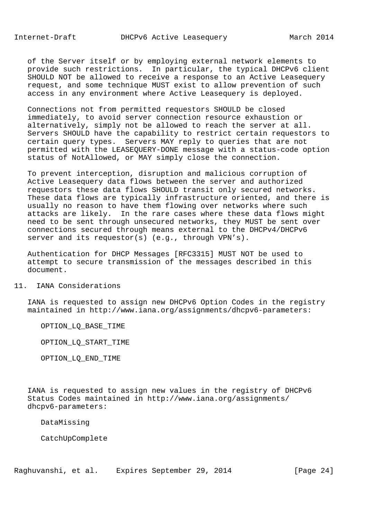of the Server itself or by employing external network elements to provide such restrictions. In particular, the typical DHCPv6 client SHOULD NOT be allowed to receive a response to an Active Leasequery request, and some technique MUST exist to allow prevention of such access in any environment where Active Leasequery is deployed.

 Connections not from permitted requestors SHOULD be closed immediately, to avoid server connection resource exhaustion or alternatively, simply not be allowed to reach the server at all. Servers SHOULD have the capability to restrict certain requestors to certain query types. Servers MAY reply to queries that are not permitted with the LEASEQUERY-DONE message with a status-code option status of NotAllowed, or MAY simply close the connection.

 To prevent interception, disruption and malicious corruption of Active Leasequery data flows between the server and authorized requestors these data flows SHOULD transit only secured networks. These data flows are typically infrastructure oriented, and there is usually no reason to have them flowing over networks where such attacks are likely. In the rare cases where these data flows might need to be sent through unsecured networks, they MUST be sent over connections secured through means external to the DHCPv4/DHCPv6 server and its requestor(s) (e.g., through VPN's).

 Authentication for DHCP Messages [RFC3315] MUST NOT be used to attempt to secure transmission of the messages described in this document.

## 11. IANA Considerations

 IANA is requested to assign new DHCPv6 Option Codes in the registry maintained in http://www.iana.org/assignments/dhcpv6-parameters:

OPTION\_LQ\_BASE\_TIME

OPTION\_LQ\_START\_TIME

OPTION\_LQ\_END\_TIME

 IANA is requested to assign new values in the registry of DHCPv6 Status Codes maintained in http://www.iana.org/assignments/ dhcpv6-parameters:

DataMissing

CatchUpComplete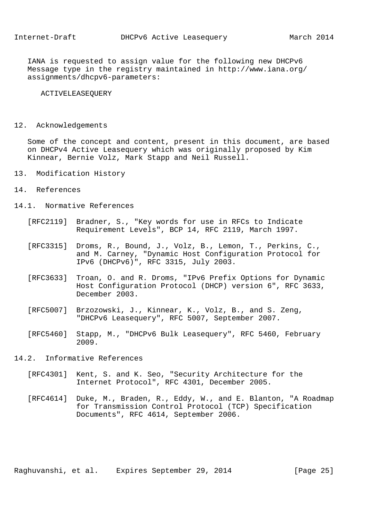IANA is requested to assign value for the following new DHCPv6 Message type in the registry maintained in http://www.iana.org/ assignments/dhcpv6-parameters:

ACTIVELEASEQUERY

## 12. Acknowledgements

 Some of the concept and content, present in this document, are based on DHCPv4 Active Leasequery which was originally proposed by Kim Kinnear, Bernie Volz, Mark Stapp and Neil Russell.

- 13. Modification History
- 14. References
- 14.1. Normative References
	- [RFC2119] Bradner, S., "Key words for use in RFCs to Indicate Requirement Levels", BCP 14, RFC 2119, March 1997.
	- [RFC3315] Droms, R., Bound, J., Volz, B., Lemon, T., Perkins, C., and M. Carney, "Dynamic Host Configuration Protocol for IPv6 (DHCPv6)", RFC 3315, July 2003.
	- [RFC3633] Troan, O. and R. Droms, "IPv6 Prefix Options for Dynamic Host Configuration Protocol (DHCP) version 6", RFC 3633, December 2003.
	- [RFC5007] Brzozowski, J., Kinnear, K., Volz, B., and S. Zeng, "DHCPv6 Leasequery", RFC 5007, September 2007.
	- [RFC5460] Stapp, M., "DHCPv6 Bulk Leasequery", RFC 5460, February 2009.
- 14.2. Informative References
	- [RFC4301] Kent, S. and K. Seo, "Security Architecture for the Internet Protocol", RFC 4301, December 2005.
	- [RFC4614] Duke, M., Braden, R., Eddy, W., and E. Blanton, "A Roadmap for Transmission Control Protocol (TCP) Specification Documents", RFC 4614, September 2006.

Raghuvanshi, et al. Expires September 29, 2014 [Page 25]